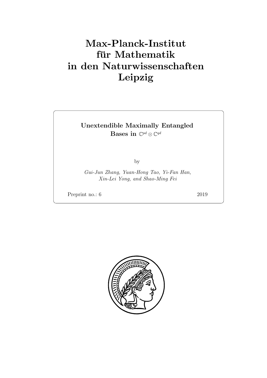# Max-Planck-Institut für Mathematik in den Naturwissenschaften Leipzig

Unextendible Maximally Entangled  $\mathbf{B}$ ases in  $\mathbb{C}^{pd}\otimes\mathbb{C}^{qd}$ 

by

Gui-Jun Zhang, Yuan-Hong Tao, Yi-Fan Han, Xin-Lei Yong, and Shao-Ming Fei

Preprint no.: 6 2019

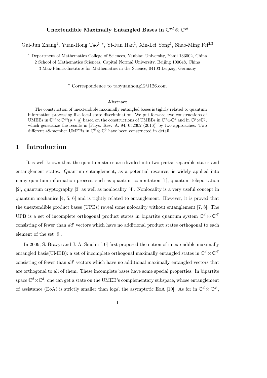**Unextendible Maximally Entangled Bases in** C *pd ⊗* C *qd*

Gui-Jun Zhang<sup>1</sup>, Yuan-Hong Tao<sup>1</sup><sup>\*</sup>, Yi-Fan Han<sup>1</sup>, Xin-Lei Yong<sup>1</sup>, Shao-Ming Fei<sup>2,3</sup>

1 Department of Mathematics College of Sciences, Yanbian University, Yanji 133002, China

2 School of Mathematics Sciences, Capital Normal University, Beijing 100048, China

3 Max-Planck-Institute for Mathematics in the Science, 04103 Leipzig, Germany

*∗* Correspondence to taoyuanhong12@126.com

#### **Abstract**

The construction of unextendible maximally entangled bases is tightly related to quantum information processing like local state discrimination. We put forward two constructions of UMEBs in  $\mathbb{C}^{pd}\otimes\mathbb{C}^{qd}(p\leq q)$  based on the constructions of UMEBs in  $\mathbb{C}^{d}\otimes\mathbb{C}^{d}$  and in  $\mathbb{C}^{p}\otimes\mathbb{C}^{q}$ , which generalize the results in [Phys. Rev. A. 94, 052302 (2016)] by two approaches. Two different 48-member UMEBs in C <sup>6</sup> *⊗* C <sup>9</sup> have been constructed in detail.

### **1 Introduction**

It is well known that the quantum states are divided into two parts: separable states and entanglement states. Quantum entanglement, as a potential resource, is widely applied into many quantum information process, such as quantum computation [1], quantum teleportation [2], quantum cryptography [3] as well as nonlocality [4]. Nonlocality is a very useful concept in quantum mechanics [4, 5, 6] and is tightly related to entanglement. However, it is proved that the unextendible product bases (UPBs) reveal some nolocality without entanglement [7, 8]. The UPB is a set of incomplete orthogonal product states in bipartite quantum system  $\mathbb{C}^d \otimes \mathbb{C}^{d'}$ consisting of fewer than *dd′* vectors which have no additional product states orthogonal to each element of the set [9].

In 2009, S. Bravyi and J. A. Smolin [10] first proposed the notion of unextendible maximally entangled basis(UMEB): a set of incomplete orthogonal maximally entangled states in  $\mathbb{C}^d \otimes \mathbb{C}^{d'}$ consisting of fewer than *dd′* vectors which have no additional maximally entangled vectors that are orthogonal to all of them. These incomplete bases have some special properties. In bipartite  $\mathbb{S}^d$ pace  $\mathbb{C}^d$   $\otimes$   $\mathbb{C}^d$ , one can get a state on the UMEB's complementary subspace, whose entanglement of assistance (EoA) is strictly smaller than logd, the asymptotic EoA [10]. As for in  $\mathbb{C}^d \otimes \mathbb{C}^{d'}$ ,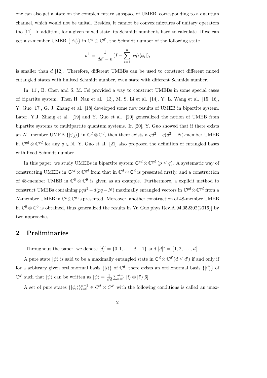one can also get a state on the complementary subspace of UMEB, corresponding to a quantum channel, which would not be unital. Besides, it cannot be convex mixtures of unitary operators too [11]. In addition, for a given mixed state, its Schmidt number is hard to calculate. If we can get a *n*-member UMEB  $\{|\phi_i\rangle\}$  in  $\mathbb{C}^d \otimes \mathbb{C}^{d'}$ , the Schmidt number of the following state

$$
\rho^{\perp} = \frac{1}{dd' - n} (I - \sum_{i=1}^{n} |\phi_i\rangle\langle\phi_i|),
$$

is smaller than *d* [12]. Therefore, different UMEBs can be used to construct different mixed entangled states with limited Schmidt number, even state with different Schmidt number.

In [11], B. Chen and S. M. Fei provided a way to construct UMEBs in some special cases of bipartite system. Then H. Nan et al. [13], M. S. Li et al. [14], Y. L. Wang et al. [15, 16], Y. Guo [17], G. J. Zhang et al. [18] developed some new results of UMEB in bipartite system. Later, Y.J. Zhang et al. [19] and Y. Guo et al. [20] generalized the notion of UMEB from bipartite systems to multipartite quantum systems. In [20], Y. Guo showed that if there exists an *N*−member UMEB  $\{ |\psi_j \rangle \}$  in  $\mathbb{C}^d \otimes \mathbb{C}^d$ , then there exists a  $qd^2 - q(d^2 - N)$ -member UMEB in  $\mathbb{C}^{qd}$  ⊗  $\mathbb{C}^{qd}$  for any  $q \in \mathbb{N}$ . Y. Guo et al. [21] also proposed the definition of entangled bases with fixed Schmidt number.

In this paper, we study UMEBs in bipartite system  $\mathbb{C}^{pd} \otimes \mathbb{C}^{qd}$  ( $p \leq q$ ). A systematic way of constructing UMEBs in  $\mathbb{C}^{pd} \otimes \mathbb{C}^{qd}$  from that in  $\mathbb{C}^{d} \otimes \mathbb{C}^{d}$  is presented firstly, and a construction of 48-member UMEB in  $\mathbb{C}^6 \otimes \mathbb{C}^9$  is given as an example. Furthermore, a explicit method to construct UMEBs containing  $pqd^2 - d(pq - N)$  maximally entangled vectors in  $\mathbb{C}^{pd} \otimes \mathbb{C}^{qd}$  from a *N*-member UMEB in  $\mathbb{C}^p \otimes \mathbb{C}^q$  is presented. Moreover, another construction of 48-member UMEB in  $\mathbb{C}^6 \otimes \mathbb{C}^9$  is obtained, thus generalized the results in Yu Guo[phys.Rev.A.94,052302(2016)] by two approaches.

### **2 Preliminaries**

Throughout the paper, we denote  $[d]' = \{0, 1, \dots, d - 1\}$  and  $[d]^* = \{1, 2, \dots, d\}.$ 

A pure state  $|\psi\rangle$  is said to be a maximally entangled state in  $\mathbb{C}^d \otimes \mathbb{C}^{d'}$  ( $d \leq d'$ ) if and only if for a arbitrary given orthonormal basis  $\{|i\rangle\}$  of  $\mathbb{C}^d$ , there exists an orthonormal basis  $\{|i'\rangle\}$  of  $\mathbb{C}^{d'}$  such that  $|\psi\rangle$  can be written as  $|\psi\rangle = \frac{1}{\sqrt{2}}$  $\frac{1}{d} \sum_{i=0}^{d-1} |i\rangle \otimes |i'\rangle[6].$ 

A set of pure states  $\{|\phi_i\rangle\}_{i=0}^{n-1} \in C^d \otimes C^{d'}$  with the following conditions is called an unex-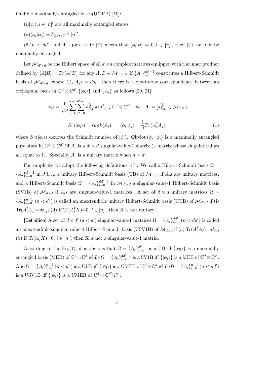tendible maximally entangled bases(UMEB) [10]:

 $(i)|\phi_i\rangle, i \in [n]'$  are all maximally entangled states,

 $\langle \text{ii}) \langle \phi_i | \phi_j \rangle = \delta_{ij}, i, j \in [n]$ 

 $(iii) n \lt d d'$ , and if a pure state  $|\psi\rangle$  meets that  $\langle \phi_i | \psi \rangle = 0, i \in [n]'$ , then  $|\psi\rangle$  can not be maximally entangled.

Let  $\mathcal{M}_{d'\times d}$  be the Hilbert space of all  $d'\times d$  complex matrices equipped with the inner product defined by  $\langle A|B\rangle = Tr(A^{\dagger}B)$  for any  $A, B \in \mathcal{M}_{d' \times d}$ . If  $\{A_i\}_{i=0}^{dd'-1}$  constitutes a Hilbert-Schmidt basis of  $\mathcal{M}_{d' \times d}$ , where  $\langle A_i | A_j \rangle = d\delta_{ij}$ , then there is a one-to-one correspondence between an orthogonal basis in  $\mathbb{C}^d \otimes \mathbb{C}^{d'}$  { $|\phi_i\rangle$ } and { $A_i$ } as follows [20, 21]:

$$
|\phi_i\rangle = \frac{1}{\sqrt{d}} \sum_{k=0}^{d-1} \sum_{\ell'=0}^{d'-1} a_{\ell'k}^{(i)} |k\rangle |\ell'\rangle \in \mathbb{C}^d \otimes \mathbb{C}^{d'} \iff A_i = [a_{\ell'k}^{(i)}] \in \mathcal{M}_{d'\times d},
$$
  

$$
Sr(|\phi_i\rangle) = rank(A_i), \quad \langle \phi_i | \phi_j \rangle = \frac{1}{d} Tr(A_i^{\dagger} A_j), \tag{1}
$$

where  $Sr(|\phi_i\rangle)$  denotes the Schmidt number of  $|\phi_i\rangle$ . Obviously,  $|\phi_i\rangle$  is a maximally entangled pure state in  $C^d \otimes C^{d'}$  iff  $A_i$  is a  $d' \times d$  singular-value-1 matrix (a matrix whose singular values all equal to 1). Specially,  $A_i$  is a unitary matrix when  $d = d'$ .

For simplicity we adopt the following definitions [17]. We call a Hilbert-Schmidt basis  $\Omega =$  ${A_i}_{i=0}^{d^2-1}$  in  $M_{d \times d}$  a unitary Hilbert-Schmidt basis (UB) of  $M_{d \times d}$  if  $A_i$ s are unitary matrices, and a Hilbert-Schmidt basis  $\Omega = \{A_i\}_{i=0}^{dd'-1}$  in  $\mathcal{M}_{d'\times d}$  a singular-value-1 Hilbert-Schmidt basis (SV1B) of  $\mathcal{M}_{d\times d}$  if  $A_i$ s are singular-value-1 matrices. A set of  $d \times d$  unitary matrices  $\Omega =$  ${A_i}_{i=0}^{n-1}$  (*n* < *d*<sup>2</sup>) is called an unextendible unitary Hilbert-Schmidt basis (UUB) of  $M_{d \times d}$  if (i) Tr( $A_i^{\dagger}A_j$ )= $d\delta_{ij}$ ; (ii) if Tr( $A_i^{\dagger}X$ )=0,  $i \in [n]'$ , then X is not unitary.

[Definition] A set of  $d \times d'$  ( $d < d'$ ) singular-value-1 matrices  $\Omega = \{A_i\}_{i=1}^{dd'}$  ( $n < dd'$ ) is called an unextendible singular-value-1 Hilbert-Schmidt basis (USV1B) of  $\mathcal{M}_{d\times d}$  if (a)  $\text{Tr}(A_i^{\dagger}A_j)=d\delta_{ij}$ ; (b) if  $\text{Tr}(A_i^{\dagger}X)=0$ ,  $i \in [n]'$ , then X is not a singular-value-1 matrix.

According to the Eq.(1), it is obvious that  $\Omega = \{A_i\}_{i=0}^{d^2-1}$  is a UB iff  $\{|\phi_i\rangle\}$  is a maximally entangled basis (MEB) of  $\mathbb{C}^d \otimes \mathbb{C}^d$  while  $\Omega = \{A_i\}_{i=0}^{dd'-1}$  is a SV1B iff  $\{|\phi_i\rangle\}$  is a MEB of  $\mathbb{C}^d \otimes \mathbb{C}^{d'}$ . And  $\Omega = \{A_i\}_{i=0}^{n-1}$   $(n < d^2)$  is a UUB iff  $\{|\phi_i\rangle\}$  is a UMEB of  $\mathbb{C}^d \otimes \mathbb{C}^d$  while  $\Omega = \{A_i\}_{i=0}^{n-1}$   $(n < dd')$ is a USV1B iff  $\{ | \phi_i \rangle \}$  is a UMEB of  $\mathbb{C}^d \otimes \mathbb{C}^{d'}$  [17].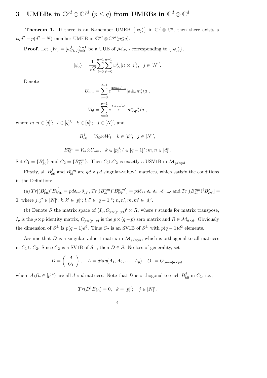# ${\bf 3}\quad \textbf{UMEBs in} \ \ \mathbb{C}^{pd} \otimes \mathbb{C}^{qd} \ \left(p \leq q\right) \textbf{ from UMEBs in} \ \ \mathbb{C}^{d} \otimes \mathbb{C}^{db}$

**Theorem 1.** If there is an N-member UMEB  $\{|\psi_j\rangle\}$  in  $\mathbb{C}^d \otimes \mathbb{C}^d$ , then there exists a  $pqd^2 - p(d^2 - N)$ -member UMEB in  $\mathbb{C}^{pd} \otimes \mathbb{C}^{qd}(p \leq q)$ .

**Proof.** Let  $\{W_j = [w_j^j]$  $\{(\psi_i)\}_{j=0}^{N-1}$  be a UUB of  $\mathcal{M}_{d \times d}$  corresponding to  $\{(\psi_j)\}_{j=0}^{N-1}$ 

$$
|\psi_j\rangle = \frac{1}{\sqrt{d}} \sum_{i=0}^{d-1} \sum_{i'=0}^{d-1} w_{i'i}^j |i\rangle \otimes |i'\rangle, \ \ j \in [N]'
$$

Denote

$$
U_{nm} = \sum_{a=0}^{d-1} e^{\frac{2\pi na\sqrt{-1}}{d}} |a \oplus_d m\rangle \langle a|,
$$
  

$$
V_{kl} = \sum_{a=0}^{p-1} e^{\frac{2\pi ka\sqrt{-1}}{p}} |a \oplus_d l\rangle \langle a|,
$$

where  $m, n \in [d]'$ ;  $l \in [q]'$ ;  $k \in [p]'$ ;  $j \in [N]'$ , and

$$
B_{k0}^{j} = V_{k0} \otimes W_j, \ \ k \in [p]'; \ \ j \in [N]',
$$

$$
B_{kl}^{nm} = V_{kl} \otimes U_{nm}, \quad k \in [p]'; l \in [q-1]^*; m, n \in [d]'
$$

Set  $C_1 = \{B_k^j\}$  $\mathcal{L}_{k0}^{j}$  and  $C_2 = \{B_{kl}^{nm}\}$ . Then  $C_1 \cup C_2$  is exactly a USV1B in  $\mathcal{M}_{qd \times pd}$ .

Firstly, all *B j*  $\hat{B}_{k0}^{j}$  and  $B_{kl}^{nm}$  are  $qd \times pd$  singular-value-1 matrices, which satisfy the conditions in the Definition:

(a)  $Tr[(B_k^j)$  $j_{k0}$ <sup>†</sup> $B^{j^\prime}_{k^\prime}$  $\mathcal{L}_{k'0}^{j'}]=pd\delta_{kk'}\delta_{jj'}, Tr[(B_{kl}^{nm})^{\dagger}B_{k'l'}^{n'm'}]=pd\delta_{kk'}\delta_{ll'}\delta_{nn'}\delta_{mm'} \text{ and } Tr[(B_{kl}^{nm})^{\dagger}B_{k'l'}^{j'm'}].$  $\binom{J}{k'0} =$ 0, where  $j, j' \in [N]'; k, k' \in [p]'; l, l' \in [q-1]'; n, n', m, m' \in [d]'.$ 

(b) Denote *S* the matrix space of  $(I_p, O_{p \times (q-p)})^t \otimes R$ , where *t* stands for matrix transpose,  $I_p$  is the  $p \times p$  identity matrix,  $O_{p \times (q-p)}$  is the  $p \times (q-p)$  zero matrix and  $R \in \mathcal{M}_{d \times d}$ . Obviously the dimension of  $S^{\perp}$  is  $p(q-1)d^2$ . Thus  $C_2$  is an SV1B of  $S^{\perp}$  with  $p(q-1)d^2$  elements.

Assume that *D* is a singular-value-1 matrix in  $\mathcal{M}_{dd} \times_{pd}$ , which is orthogonal to all matrices in  $C_1 ∪ C_2$ . Since  $C_2$  is a SV1B of  $S^{\perp}$ , then  $D \in S$ . No loss of generality, set

$$
D = \begin{pmatrix} A \\ O_1 \end{pmatrix}, \quad A = diag(A_1, A_2, \cdots, A_p), \quad O_1 = O_{(q-p)d \times pd},
$$

where  $A_h(h \in [p]^*)$  are all  $d \times d$  matrices. Note that *D* is orthogonal to each  $B_k^j$  $\chi_{k0}^{j}$  in  $C_1$ , i.e.,

$$
Tr(D^{\dagger}B_{k0}^{j}) = 0, \ \ k = [p]'; \quad j \in [N]'.
$$

$$
4\phantom{.0}
$$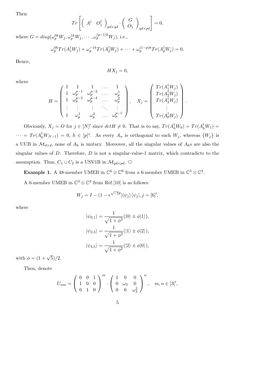Then

$$
Tr\left[\left(\begin{array}{cc}A^{\dagger} & O_{1}^{\dagger} \end{array}\right)_{pd\times qd} \cdot \left(\begin{array}{c}G \\ O_{1} \end{array}\right)_{qd\times pd}\right] = 0,
$$

 $\text{where } G = diag(\omega_p^{0k}W_j, \omega_p^{1k}W_j, \cdots, \omega_p^{(p-1)k}W_j), \text{ i.e.,}$ 

$$
\omega_p^{0k} Tr(A_1^{\dagger} W_j) + \omega_p^{-1k} Tr(A_2^{\dagger} W_j) + \cdots + \omega_p^{(1-p)k} Tr(A_p^{\dagger} W_j) = 0.
$$

Hence,

$$
HX_j=0,
$$

where

$$
H = \begin{pmatrix} 1 & 1 & 1 & \dots & 1 \\ 1 & \omega_p^{p-1} & \omega_p^{p-2} & \dots & \omega_p^1 \\ 1 & \omega_p^{p-2} & \omega_p^{p-4} & \dots & \omega_p^2 \\ \vdots & \vdots & \vdots & \ddots & \vdots \\ 1 & \omega_p^1 & \omega_p^2 & \dots & \omega_p^{p-1} \end{pmatrix}, \quad X_j = \begin{pmatrix} Tr(A_1^{\dagger} W_j) \\ Tr(A_2^{\dagger} W_j) \\ Tr(A_3^{\dagger} W_j) \\ \vdots \\ Tr(A_p^{\dagger} W_j) \end{pmatrix}.
$$

Obviously,  $X_j = O$  for  $j \in [N]'$  since  $det H \neq 0$ . That is to say,  $Tr(A_h^{\dagger} W_0) = Tr(A_h^{\dagger} W_1) =$  $\cdots = Tr(A_h^{\dagger}W_{N-1}) = 0, h \in [p]^*$ . As every  $A_n$  is orthogonal to each  $W_j$ , whereas  $\{W_j\}$  is a UUB in  $\mathcal{M}_{d\times d}$ , none of  $A_h$  is unitary. Moreover, all the singular values of  $A_h$ s are also the singular values of *D*. Therefore, *D* is not a singular-value-1 matrix, which contradicts to the assumption. Thus,  $C_1 \cup C_2$  is a USV1B in  $\mathcal{M}_{qd} \times pd$ .  $\Box$ 

**Example 1.** A 48-member UMEB in  $\mathbb{C}^6 \otimes \mathbb{C}^9$  from a 6-member UMEB in  $\mathbb{C}^3 \otimes \mathbb{C}^3$ .

A 6-member UMEB in  $\mathbb{C}^3 \otimes \mathbb{C}^3$  from Ref.[10] is as follows:

$$
W_j = I - (1 - e^{\sqrt{-1}\theta}) |\psi_j\rangle \langle \psi_j|, j = [6]',
$$

where

$$
|\psi_{0,1}\rangle = \frac{1}{\sqrt{1+\phi^2}}(|0\rangle \pm \phi|1\rangle),
$$
  

$$
|\psi_{2,3}\rangle = \frac{1}{\sqrt{1+\phi^2}}(|1\rangle \pm \phi|2\rangle),
$$
  

$$
|\psi_{4,5}\rangle = \frac{1}{\sqrt{1+\phi^2}}(|2\rangle \pm \phi|0\rangle),
$$

with  $\phi = (1 + \sqrt{5})/2$ .

Then, denote

$$
U_{nm} = \left(\begin{array}{ccc} 0 & 0 & 1 \\ 1 & 0 & 0 \\ 0 & 1 & 0 \end{array}\right)^m \cdot \left(\begin{array}{ccc} 1 & 0 & 0 \\ 0 & \omega_3 & 0 \\ 0 & 0 & \omega_3^2 \end{array}\right)^n, \quad m, n \in [3]^{\prime},
$$

$$
5\,
$$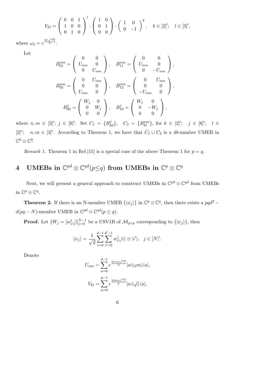$$
V_{kl} = \left(\begin{array}{ccc} 0 & 0 & 1 \\ 1 & 0 & 0 \\ 0 & 1 & 0 \end{array}\right)^l \cdot \left(\begin{array}{ccc} 1 & 0 \\ 0 & 1 \\ 0 & 0 \end{array}\right) \cdot \left(\begin{array}{ccc} 1 & 0 \\ 0 & -1 \end{array}\right)^k, \quad k \in [2]'; \quad l \in [3]',
$$

where  $\omega_3 = e^{\frac{2\pi\sqrt{-1}}{3}}$ .

Let

$$
B_{01}^{nm} = \begin{pmatrix} 0 & 0 \\ U_{nm} & 0 \\ 0 & U_{nm} \end{pmatrix}, \quad B_{11}^{nm} = \begin{pmatrix} 0 & 0 \\ U_{nm} & 0 \\ 0 & -U_{nm} \end{pmatrix},
$$
  

$$
B_{02}^{nm} = \begin{pmatrix} 0 & U_{nm} \\ 0 & 0 \\ U_{nm} & 0 \end{pmatrix}, \quad B_{12}^{nm} = \begin{pmatrix} 0 & U_{nm} \\ 0 & 0 \\ -U_{nm} & 0 \end{pmatrix},
$$
  

$$
B_{00}^{j} = \begin{pmatrix} W_{j} & 0 \\ 0 & W_{j} \\ 0 & 0 \end{pmatrix}, \quad B_{10}^{j} = \begin{pmatrix} W_{j} & 0 \\ 0 & -W_{j} \\ 0 & 0 \end{pmatrix},
$$

where  $n, m \in [3]'; j \in [6]'$ . Set  $C_1 = \{B_k^j\}$  $\{B_{k0}^{j}\},\quad C_2 = \{B_{kl}^{nm}\},\text{ for } k \in [2]';\quad j \in [6]';\quad l \in [6]$ [2]<sup>\*</sup>;  $n, m \in [3]^\prime$ . According to Theorem 1, we have that  $C_1 \cup C_2$  is a 48-number UMEB in  $\mathbb{C}^6 \otimes \mathbb{C}^9.$ 

*Remark 1.* Theorem 1 in Ref. [15] is a special case of the above Theorem 1 for  $p = q$ .

# $4$  UMEBs in  $\mathbb{C}^{pd}\otimes\mathbb{C}^{qd}(p\leq q)$  from UMEBs in  $\mathbb{C}^p\otimes\mathbb{C}^q$

Next, we will present a general approach to construct UMEBs in  $\mathbb{C}^{pd} ⊗ \mathbb{C}^{qd}$  from UMEBs in  $\mathbb{C}^p \otimes \mathbb{C}^q$ .

**Theorem 2.** If there is an N-member UMEB  $\{|\psi_j\rangle\}$  in  $\mathbb{C}^p \otimes \mathbb{C}^q$ , then there exists a  $pqd^2$  *−*  $d(pq - N)$ -member UMEB in  $\mathbb{C}^{pd} \otimes \mathbb{C}^{qd}(p \leq q)$ .

**Proof.** Let  $\{W_j = [w_j^j]$  $\{(\psi_j)\}_{j=0}^{N-1}$  be a USV1B of  $\mathcal{M}_{q \times p}$  corresponding to  $\{(\psi_j)\}\$ , then

$$
|\psi_j\rangle = \frac{1}{\sqrt{d}} \sum_{i=0}^{d-1} \sum_{i'=0}^{d'-1} w_{i'i}^j |i\rangle \otimes |i'\rangle, \ \ j \in [N]'
$$

Denote

$$
U_{nm} = \sum_{a=0}^{d-1} e^{\frac{2\pi n a \sqrt{-1}}{d}} |a \oplus_d m\rangle \langle a|,
$$
  

$$
V_{kl} = \sum_{a=0}^{p-1} e^{\frac{2\pi k a \sqrt{-1}}{p}} |a \oplus_d l\rangle \langle a|,
$$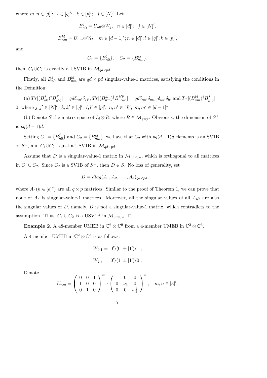where  $m, n \in [d]'$ ;  $l \in [q]'$ ;  $k \in [p]'$ ;  $j \in [N]'$ . Let

$$
B_{n0}^{j} = U_{n0} \otimes W_{j}, \quad n \in [d]'; \quad j \in [N]',
$$
  

$$
B_{nm}^{kl} = U_{nm} \otimes V_{kl}, \quad m \in [d-1]^{*}; n \in [d]'; l \in [q]'; k \in [p]
$$

*′ ,*

and

$$
C_1 = \{B_{n0}^j\}, \quad C_2 = \{B_{nm}^{kl}\}.
$$

then,  $C_1 \cup C_2$  is exactly a USV1B in  $\mathcal{M}_{ad \times pd}$ .

Firstly, all  $B_n^j$  $\frac{d}{d}$  and  $B_{nm}^{kl}$  are  $qd \times pd$  singular-value-1 matrices, satisfying the conditions in the Definition:

(a)  $Tr[(B_n^j)$  $j_{n0}$ <sup> $\dagger$ </sup>*B*<sup> $j'$ </sup>  $\sigma_{n'0}^{j'}]=qd\delta_{nn'}\delta_{jj'}, Tr[(B^{kl}_{nm})^{\dagger}B^{k'l'}_{n'm'}]=qd\delta_{nn'}\delta_{mm'}\delta_{kk'}\delta_{ll'}$  and  $Tr[(B^{kl}_{nm})^{\dagger}B^{jl}_{nm}]$  $\binom{J}{n'0} =$ 0, where  $j, j' \in [N]'; k, k' \in [q]'; l, l' \in [p]'; n, n' \in [d]'; m, m' \in [d-1]^*.$ 

(b) Denote *S* the matrix space of  $I_d \otimes R$ , where  $R \in \mathcal{M}_{q \times p}$ . Obviously, the dimension of  $S^{\perp}$ is  $pq(d-1)d$ .

Setting  $C_1 = \{B_n^j\}$  $\binom{J}{n_0}$  and  $C_2 = \{B_{nm}^{kl}\}$ , we have that  $C_2$  with  $pq(d-1)d$  elements is an SV1B of  $S^{\perp}$ , and  $C_1 \cup C_2$  is just a USV1B in  $\mathcal{M}_{qd \times pd}$ .

Assume that *D* is a singular-value-1 matrix in  $\mathcal{M}_{qd\times pd}$ , which is orthogonal to all matrices in  $C_1$  ∪  $C_2$ . Since  $C_2$  is a SV1B of  $S^{\perp}$ , then  $D \in S$ . No loss of generality, set

$$
D = diag(A_1, A_2, \cdots, A_d)_{qd \times pd},
$$

where  $A_h(h \in [d]^*)$  are all  $q \times p$  matrices. Similar to the proof of Theorem 1, we can prove that none of  $A_h$  is singular-value-1 matrices. Moreover, all the singular values of all  $A_h$ s are also the singular values of *D*, namely, *D* is not a singular-value-1 matrix, which contradicts to the assumption. Thus,  $C_1 \cup C_2$  is a USV1B in  $\mathcal{M}_{qd \times pd}$ .  $\Box$ 

**Example 2.** A 48-member UMEB in  $\mathbb{C}^6 \otimes \mathbb{C}^9$  from a 4-member UMEB in  $\mathbb{C}^2 \otimes \mathbb{C}^3$ .

A 4-member UMEB in  $\mathbb{C}^2 \otimes \mathbb{C}^3$  is as follows:

$$
W_{0,1} = |0'\rangle\langle 0| \pm |1'\rangle\langle 1|,
$$
  

$$
W_{2,3} = |0'\rangle\langle 1| \pm |1'\rangle\langle 0|.
$$

Denote

$$
U_{nm} = \left(\begin{array}{ccc} 0 & 0 & 1 \\ 1 & 0 & 0 \\ 0 & 1 & 0 \end{array}\right)^m \cdot \left(\begin{array}{ccc} 1 & 0 & 0 \\ 0 & \omega_3 & 0 \\ 0 & 0 & \omega_3^2 \end{array}\right)^n, \quad m, n \in [3]',
$$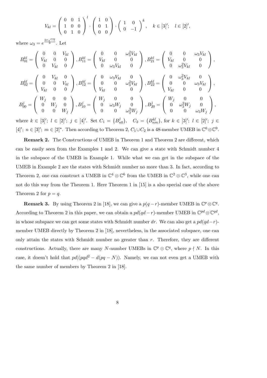$$
V_{kl} = \left(\begin{array}{ccc} 0 & 0 & 1 \\ 1 & 0 & 0 \\ 0 & 1 & 0 \end{array}\right)^l \cdot \left(\begin{array}{ccc} 1 & 0 \\ 0 & 1 \\ 0 & 0 \end{array}\right) \cdot \left(\begin{array}{ccc} 1 & 0 \\ 0 & -1 \end{array}\right)^k, \quad k \in [3]'; \quad l \in [2]',
$$

where  $\omega_3 = e^{\frac{2\pi\sqrt{-1}}{3}}$ . Let

$$
B_{01}^{kl} = \begin{pmatrix} 0 & 0 & V_{kl} \\ V_{kl} & 0 & 0 \\ 0 & V_{kl} & 0 \end{pmatrix}, B_{11}^{kl} = \begin{pmatrix} 0 & 0 & \omega_3^2 V_{kl} \\ V_{kl} & 0 & 0 \\ 0 & \omega_3 V_{kl} & 0 \end{pmatrix}, B_{21}^{kl} = \begin{pmatrix} 0 & 0 & \omega_3 V_{kl} \\ V_{kl} & 0 & 0 \\ 0 & \omega_3^2 V_{kl} & 0 \end{pmatrix},
$$
  
\n
$$
B_{02}^{kl} = \begin{pmatrix} 0 & V_{kl} & 0 \\ 0 & 0 & V_{kl} \\ V_{kl} & 0 & 0 \end{pmatrix}, B_{12}^{kl} = \begin{pmatrix} 0 & \omega_3 V_{kl} & 0 \\ 0 & 0 & \omega_3^2 V_{kl} \\ V_{kl} & 0 & 0 \end{pmatrix}, B_{22}^{kl} = \begin{pmatrix} 0 & \omega_3^2 V_{kl} & 0 \\ 0 & 0 & \omega_3 V_{kl} \\ V_{kl} & 0 & 0 \end{pmatrix},
$$
  
\n
$$
B_{00}^{j} = \begin{pmatrix} W_{j} & 0 & 0 \\ 0 & W_{j} & 0 \\ 0 & 0 & W_{j} \end{pmatrix}, B_{10}^{j} = \begin{pmatrix} W_{j} & 0 & 0 \\ 0 & \omega_3 W_{j} & 0 \\ 0 & 0 & \omega_3^2 W_{j} \end{pmatrix}, B_{20}^{j} = \begin{pmatrix} W_{j} & 0 & 0 \\ 0 & \omega_3^2 W_{j} & 0 \\ 0 & 0 & \omega_3 W_{j} \end{pmatrix},
$$

where  $k \in [3]'; \, l \in [2]'; \, j \in [4]'$ . Set  $C_1 = \{B_n^j\}$  $C_2 = \{B_{nm}^{kl}\}\text{, for } k \in [3]'; l \in [2]'; j \in$ [4]';  $n \in [3]$ ';  $m \in [2]^*$ . Then according to Theorem 2,  $C_1 \cup C_2$  is a 48-member UMEB in  $\mathbb{C}^6 \otimes \mathbb{C}^9$ .

**Remark 2.** The Constructions of UMEB in Theorem 1 and Theorem 2 are different, which can be easily seen from the Examples 1 and 2. We can give a state with Schmidt number 4 in the subspace of the UMEB in Example 1. While what we can get in the subspace of the UMEB in Example 2 are the states with Schmidt number no more than 3. In fact, according to Theorem 2, one can construct a UMEB in  $\mathbb{C}^4 \otimes \mathbb{C}^6$  from the UMEB in  $\mathbb{C}^2 \otimes \mathbb{C}^3$ , while one can not do this way from the Theorem 1. Here Theorem 1 in [15] is a also special case of the above Theorem 2 for  $p = q$ .

**Remark 3.** By using Theorem 2 in [18], we can give a  $p(q - r)$ -member UMEB in  $\mathbb{C}^p \otimes \mathbb{C}^q$ . According to Theorem 2 in this paper, we can obtain a  $pd(qd-r)$ -member UMEB in  $\mathbb{C}^{pd} \otimes \mathbb{C}^{qd}$ , in whose subspace we can get some states with Schmidt number *dr*. We can also get a *pd*(*qd−r*) member UMEB directly by Theorem 2 in [18], nevertheless, in the associated subspace, one can only attain the states with Schmidt number no greater than *r*. Therefore, they are different constructions. Actually, there are many *N*-number UMEBs in  $\mathbb{C}^p \otimes \mathbb{C}^q$ , where  $p \nmid N$ . In this case, it doesn't hold that  $pd/(pqd^2 - d(pq - N))$ . Namely, we can not even get a UMEB with the same number of members by Theorem 2 in [18].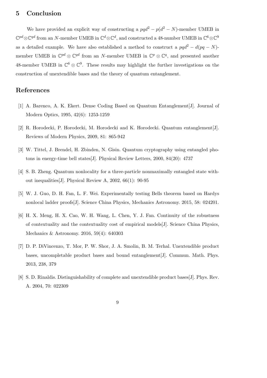### **5 Conclusion**

We have provided an explicit way of constructing a  $pqd^2 - p(d^2 - N)$ -member UMEB in  $\mathbb{C}^{pd}\otimes\mathbb{C}^{qd}$  from an *N*-member UMEB in  $\mathbb{C}^{d}\otimes\mathbb{C}^{d}$ , and constructed a 48-number UMEB in  $\mathbb{C}^{6}\otimes\mathbb{C}^{9}$ as a detailed example. We have also established a method to construct a  $pqd^2 - d(pq - N)$ member UMEB in  $\mathbb{C}^{pd} \otimes \mathbb{C}^{qd}$  from an *N*-member UMEB in  $\mathbb{C}^p \otimes \mathbb{C}^q$ , and presented another 48-member UMEB in  $\mathbb{C}^6 \otimes \mathbb{C}^9$ . These results may highlight the further investigations on the construction of unextendible bases and the theory of quantum entanglement.

### **References**

- [1] A. Barenco, A. K. Ekert. Dense Coding Based on Quantum Entanglement[J]. Journal of Modern Optics, 1995, 42(6): 1253-1259
- [2] R. Horodecki, P. Horodecki, M. Horodecki and K. Horodecki. Quantum entanglement[J]. Reviews of Modern Physics, 2009, 81: 865-942
- [3] W. Tittel, J. Brendel, H. Zbinden, N. Gisin. Quantum cryptography using entangled photons in energy-time bell states[J]. Physical Review Letters, 2000, 84(20): 4737
- [4] S. B. Zheng. Quantum nonlocality for a three-particle nonmaximally entangled state without inequalities[J]. Physical Review A, 2002, 66(1): 90-95
- [5] W. J. Guo, D. H. Fan, L. F. Wei. Experimentally testing Bells theorem based on Hardys nonlocal ladder proofs[J]. Science China Physics, Mechanics Astronomy. 2015, 58: 024201.
- [6] H. X. Meng, H. X. Cao, W. H. Wang, L. Chen, Y. J. Fan. Continuity of the robustness of contextuality and the contextuality cost of empirical models[J]. Science China Physics, Mechanics & Astronomy. 2016, 59(4): 640303
- [7] D. P. DiVincenzo, T. Mor, P. W. Shor, J. A. Smolin, B. M. Terhal. Unextendible product bases, uncompletable product bases and bound entanglement[J]. Commun. Math. Phys. 2013, 238, 379
- [8] S. D. Rinaldis. Distinguishability of complete and unextendible product bases[J]. Phys. Rev. A. 2004, 70: 022309
	- 9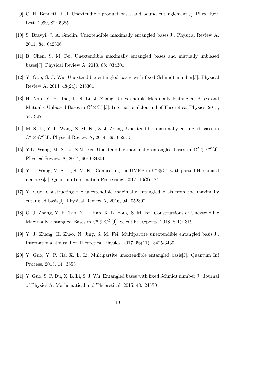- [9] C. H. Bennett et al. Unextendible product bases and bound entanglement[J]. Phys. Rev. Lett. 1999, 82: 5385
- [10] S. Bravyi, J. A. Smolin. Unextendible maximally entangled bases[J]. Physical Review A, 2011, 84: 042306
- [11] B. Chen, S. M. Fei. Unextendible maximally entangled bases and mutually unbiased bases[J]. Physical Review A, 2013, 88: 034301
- [12] Y. Guo, S. J. Wu. Unextendible entangled bases with fixed Schmidt number[J]. Physical Review A, 2014, 48(24): 245301
- [13] H. Nan, Y. H. Tao, L. S. Li, J. Zhang. Unextendible Maximally Entangled Bases and Mutually Unbiased Bases in  $\mathbb{C}^d \otimes \mathbb{C}^{d'}[J]$ . International Journal of Theoretical Physics, 2015, 54: 927
- [14] M. S. Li, Y. L. Wang, S. M. Fei, Z. J. Zheng. Unextendible maximally entangled bases in C *<sup>d</sup> ⊗* C *d ′* [J]. Physical Review A, 2014, 89: 062313
- [15] Y.L. Wang, M. S. Li, S.M. Fei. Unextendible maximally entangled bases in  $\mathbb{C}^d \otimes \mathbb{C}^{d'}[J]$ . Physical Review A, 2014, 90: 034301
- [16] Y. L. Wang, M. S. Li, S. M. Fei. Connecting the UMEB in C *<sup>d</sup> ⊗* C *<sup>d</sup>* with partial Hadamard matrices[J]. Quantum Information Processing, 2017, 16(3): 84
- [17] Y. Guo. Constructing the unextendible maximally entangled basis from the maximally entangled basis[J]. Physical Review A, 2016, 94: 052302
- [18] G. J. Zhang, Y. H. Tao, Y. F. Han, X. L. Yong, S. M. Fei. Constructions of Unextendible Maximally Entangled Bases in  $\mathbb{C}^d \otimes \mathbb{C}^{d'}$  [J]. Scientific Reports, 2018, 8(1): 319
- [19] Y. J. Zhang, H. Zhao, N. Jing, S. M. Fei. Multipartite unextendible entangled basis[J]. International Journal of Theoretical Physics, 2017, 56(11): 3425-3430
- [20] Y. Guo, Y. P. Jia, X. L. Li. Multipartite unextendible entangled basis[J]. Quantum Inf Process. 2015, 14: 3553
- [21] Y. Guo, S. P. Du, X. L. Li, S. J. Wu. Entangled bases with fixed Schmidt number[J]. Journal of Physics A: Mathematical and Theoretical, 2015, 48: 245301
	- 10